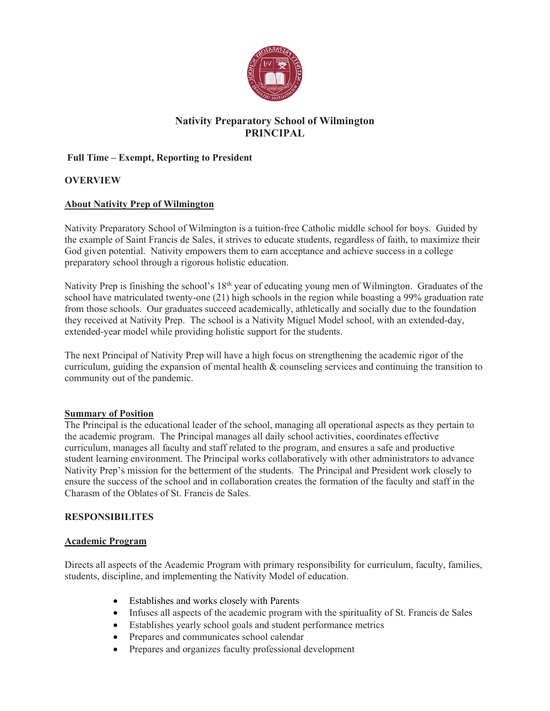

# Nativity Preparatory School of Wilmington PRINCIPAL

### Full Time – Exempt, Reporting to President

### **OVERVIEW**

### About Nativity Prep of Wilmington

Nativity Preparatory School of Wilmington is a tuition-free Catholic middle school for boys. Guided by the example of Saint Francis de Sales, it strives to educate students, regardless of faith, to maximize their God given potential. Nativity empowers them to earn acceptance and achieve success in a college preparatory school through a rigorous holistic education.

Nativity Prep is finishing the school's 18<sup>th</sup> year of educating young men of Wilmington. Graduates of the school have matriculated twenty-one (21) high schools in the region while boasting a 99% graduation rate from those schools. Our graduates succeed academically, athletically and socially due to the foundation they received at Nativity Prep. The school is a Nativity Miguel Model school, with an extended-day, extended-year model while providing holistic support for the students.

The next Principal of Nativity Prep will have a high focus on strengthening the academic rigor of the curriculum, guiding the expansion of mental health & counseling services and continuing the transition to community out of the pandemic.

#### Summary of Position

The Principal is the educational leader of the school, managing all operational aspects as they pertain to the academic program. The Principal manages all daily school activities, coordinates effective curriculum, manages all faculty and staff related to the program, and ensures a safe and productive student learning environment. The Principal works collaboratively with other administrators to advance Nativity Prep's mission for the betterment of the students. The Principal and President work closely to ensure the success of the school and in collaboration creates the formation of the faculty and staff in the Charasm of the Oblates of St. Francis de Sales.

#### RESPONSIBILITES

#### Academic Program

Directs all aspects of the Academic Program with primary responsibility for curriculum, faculty, families, students, discipline, and implementing the Nativity Model of education.

- Establishes and works closely with Parents
- Infuses all aspects of the academic program with the spirituality of St. Francis de Sales
- Establishes yearly school goals and student performance metrics
- Prepares and communicates school calendar
- Prepares and organizes faculty professional development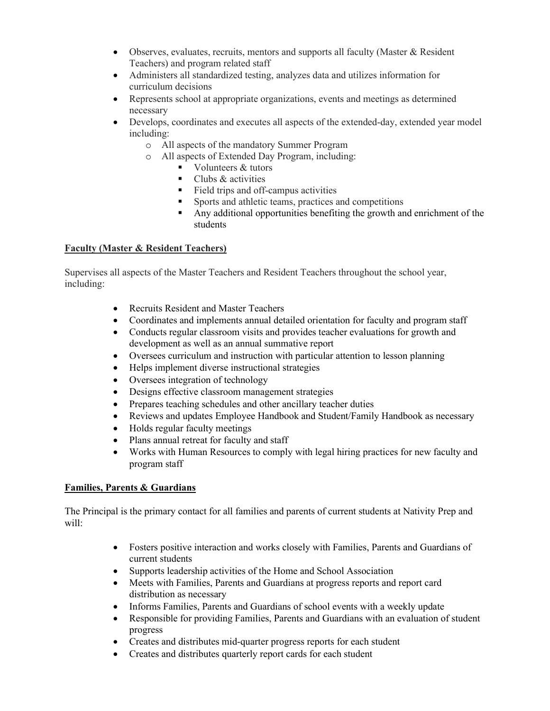- Observes, evaluates, recruits, mentors and supports all faculty (Master & Resident Teachers) and program related staff
- Administers all standardized testing, analyzes data and utilizes information for curriculum decisions
- Represents school at appropriate organizations, events and meetings as determined necessary
- Develops, coordinates and executes all aspects of the extended-day, extended year model including:
	- o All aspects of the mandatory Summer Program
	- o All aspects of Extended Day Program, including:
		- $\blacksquare$  Volunteers & tutors
		- $\blacksquare$  Clubs & activities
		- Field trips and off-campus activities
		- Sports and athletic teams, practices and competitions
		- Any additional opportunities benefiting the growth and enrichment of the students

#### Faculty (Master & Resident Teachers)

Supervises all aspects of the Master Teachers and Resident Teachers throughout the school year, including:

- Recruits Resident and Master Teachers
- Coordinates and implements annual detailed orientation for faculty and program staff
- Conducts regular classroom visits and provides teacher evaluations for growth and development as well as an annual summative report
- Oversees curriculum and instruction with particular attention to lesson planning
- Helps implement diverse instructional strategies
- Oversees integration of technology
- Designs effective classroom management strategies
- Prepares teaching schedules and other ancillary teacher duties
- Reviews and updates Employee Handbook and Student/Family Handbook as necessary
- Holds regular faculty meetings
- Plans annual retreat for faculty and staff
- Works with Human Resources to comply with legal hiring practices for new faculty and program staff

#### Families, Parents & Guardians

The Principal is the primary contact for all families and parents of current students at Nativity Prep and will:

- Fosters positive interaction and works closely with Families, Parents and Guardians of current students
- Supports leadership activities of the Home and School Association
- Meets with Families, Parents and Guardians at progress reports and report card distribution as necessary
- Informs Families, Parents and Guardians of school events with a weekly update
- Responsible for providing Families, Parents and Guardians with an evaluation of student progress
- Creates and distributes mid-quarter progress reports for each student
- Creates and distributes quarterly report cards for each student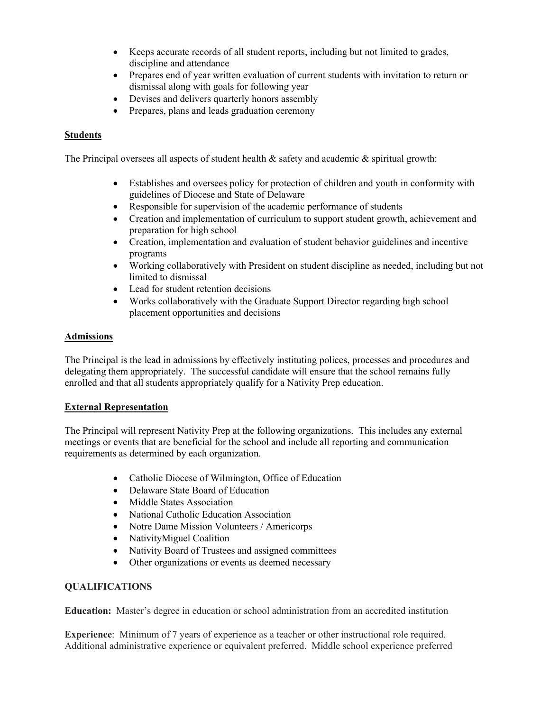- Keeps accurate records of all student reports, including but not limited to grades, discipline and attendance
- Prepares end of year written evaluation of current students with invitation to return or dismissal along with goals for following year
- Devises and delivers quarterly honors assembly
- Prepares, plans and leads graduation ceremony

#### **Students**

The Principal oversees all aspects of student health  $\&$  safety and academic  $\&$  spiritual growth:

- Establishes and oversees policy for protection of children and youth in conformity with guidelines of Diocese and State of Delaware
- Responsible for supervision of the academic performance of students
- Creation and implementation of curriculum to support student growth, achievement and preparation for high school
- Creation, implementation and evaluation of student behavior guidelines and incentive programs
- Working collaboratively with President on student discipline as needed, including but not limited to dismissal
- Lead for student retention decisions
- Works collaboratively with the Graduate Support Director regarding high school placement opportunities and decisions

#### Admissions

The Principal is the lead in admissions by effectively instituting polices, processes and procedures and delegating them appropriately. The successful candidate will ensure that the school remains fully enrolled and that all students appropriately qualify for a Nativity Prep education.

#### External Representation

The Principal will represent Nativity Prep at the following organizations. This includes any external meetings or events that are beneficial for the school and include all reporting and communication requirements as determined by each organization.

- Catholic Diocese of Wilmington, Office of Education
- Delaware State Board of Education
- Middle States Association
- National Catholic Education Association
- Notre Dame Mission Volunteers / Americorps
- NativityMiguel Coalition
- Nativity Board of Trustees and assigned committees
- Other organizations or events as deemed necessary

#### QUALIFICATIONS

Education: Master's degree in education or school administration from an accredited institution

Experience: Minimum of 7 years of experience as a teacher or other instructional role required. Additional administrative experience or equivalent preferred. Middle school experience preferred